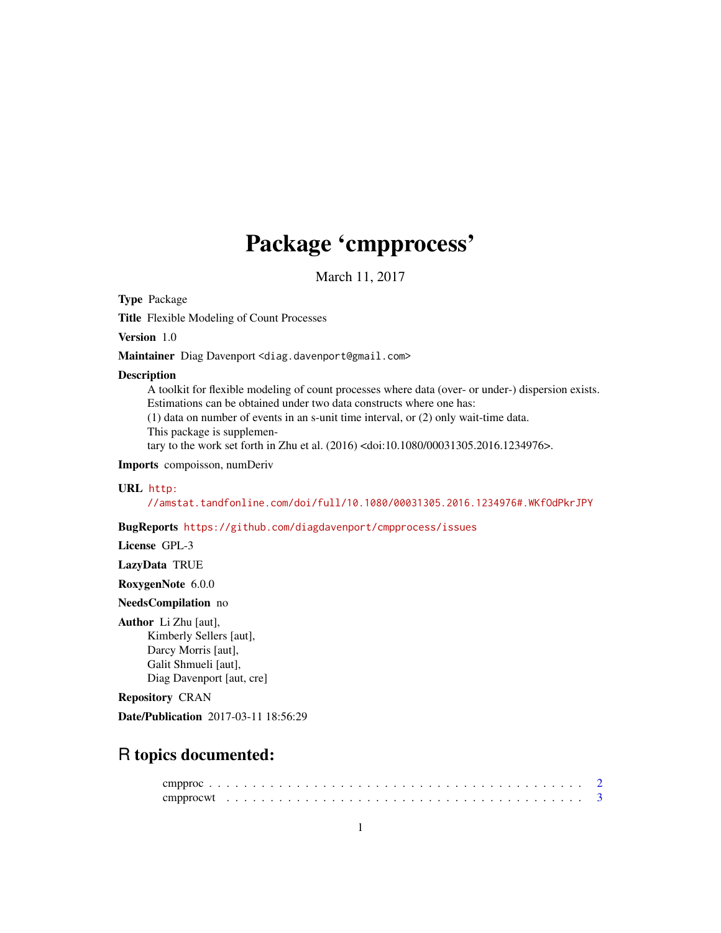## Package 'cmpprocess'

March 11, 2017

Type Package

Title Flexible Modeling of Count Processes

Version 1.0

Maintainer Diag Davenport <diag.davenport@gmail.com>

#### Description

A toolkit for flexible modeling of count processes where data (over- or under-) dispersion exists. Estimations can be obtained under two data constructs where one has: (1) data on number of events in an s-unit time interval, or (2) only wait-time data.

This package is supplemen-

tary to the work set forth in Zhu et al. (2016) <doi:10.1080/00031305.2016.1234976>.

Imports compoisson, numDeriv

#### URL [http:](http://amstat.tandfonline.com/doi/full/10.1080/00031305.2016.1234976#.WKfOdPkrJPY)

[//amstat.tandfonline.com/doi/full/10.1080/00031305.2016.1234976#.WKfOdPkrJPY](http://amstat.tandfonline.com/doi/full/10.1080/00031305.2016.1234976#.WKfOdPkrJPY)

#### BugReports <https://github.com/diagdavenport/cmpprocess/issues>

License GPL-3

LazyData TRUE

RoxygenNote 6.0.0

NeedsCompilation no

#### Author Li Zhu [aut],

Kimberly Sellers [aut], Darcy Morris [aut], Galit Shmueli [aut], Diag Davenport [aut, cre]

#### Repository CRAN

Date/Publication 2017-03-11 18:56:29

### R topics documented: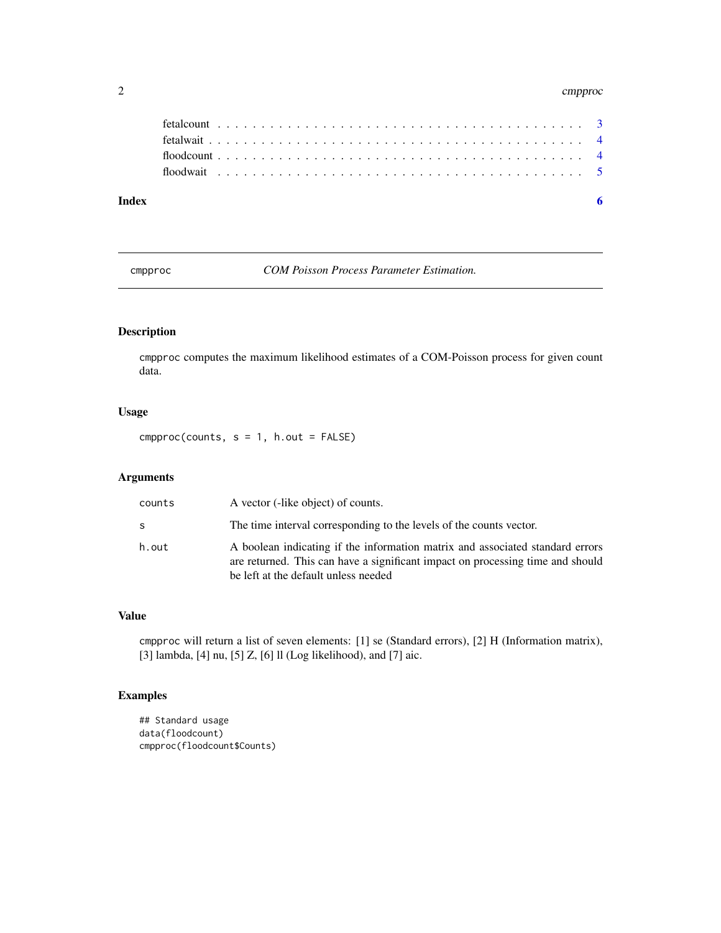#### <span id="page-1-0"></span>2 cmpprocesses and the contract of the contract of the contract of the contract of the contract of the contract of the contract of the contract of the contract of the contract of the contract of the contract of the contrac

| Index |  |  |  |  |  |  |  |  |  |  |  |  |  |  |  |  |  |  |  |  |  |
|-------|--|--|--|--|--|--|--|--|--|--|--|--|--|--|--|--|--|--|--|--|--|

cmpproc *COM Poisson Process Parameter Estimation.*

#### Description

cmpproc computes the maximum likelihood estimates of a COM-Poisson process for given count data.

#### Usage

 $cmpproc(counts, s = 1, h.out = FALSE)$ 

#### Arguments

| counts | A vector (-like object) of counts.                                                                                                                                                                      |
|--------|---------------------------------------------------------------------------------------------------------------------------------------------------------------------------------------------------------|
| S      | The time interval corresponding to the levels of the counts vector.                                                                                                                                     |
| h.out  | A boolean indicating if the information matrix and associated standard errors<br>are returned. This can have a significant impact on processing time and should<br>be left at the default unless needed |

#### Value

cmpproc will return a list of seven elements: [1] se (Standard errors), [2] H (Information matrix), [3] lambda, [4] nu, [5] Z, [6] ll (Log likelihood), and [7] aic.

#### Examples

```
## Standard usage
data(floodcount)
cmpproc(floodcount$Counts)
```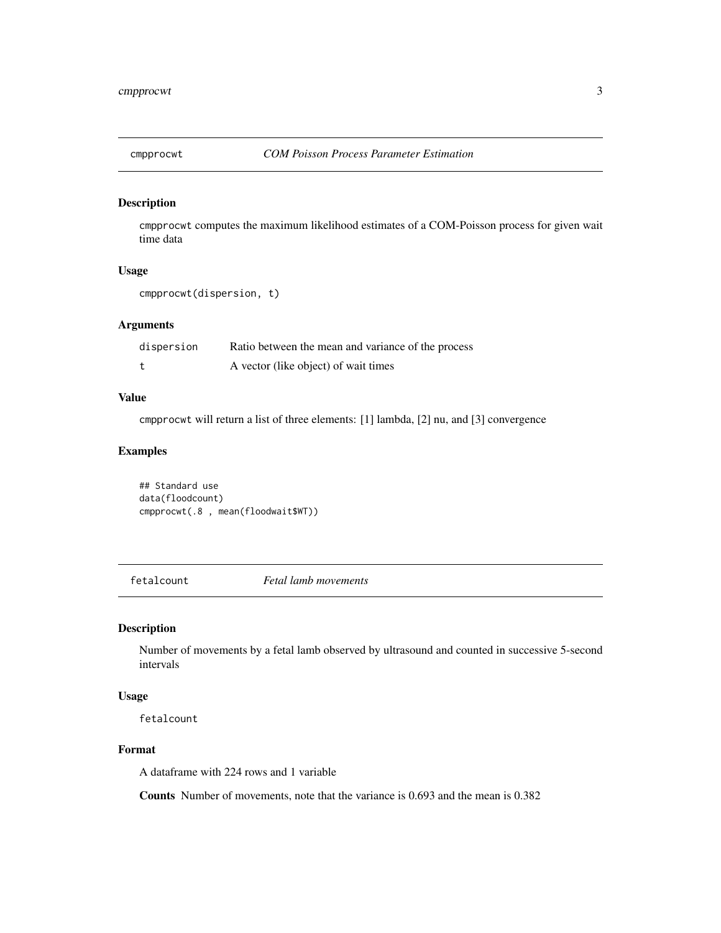<span id="page-2-0"></span>

#### Description

cmpprocwt computes the maximum likelihood estimates of a COM-Poisson process for given wait time data

#### Usage

```
cmpprocwt(dispersion, t)
```
#### Arguments

| dispersion | Ratio between the mean and variance of the process |
|------------|----------------------------------------------------|
|            | A vector (like object) of wait times               |

#### Value

cmpprocwt will return a list of three elements: [1] lambda, [2] nu, and [3] convergence

#### Examples

```
## Standard use
data(floodcount)
cmpprocwt(.8 , mean(floodwait$WT))
```
fetalcount *Fetal lamb movements*

#### Description

Number of movements by a fetal lamb observed by ultrasound and counted in successive 5-second intervals

#### Usage

fetalcount

#### Format

A dataframe with 224 rows and 1 variable

Counts Number of movements, note that the variance is 0.693 and the mean is 0.382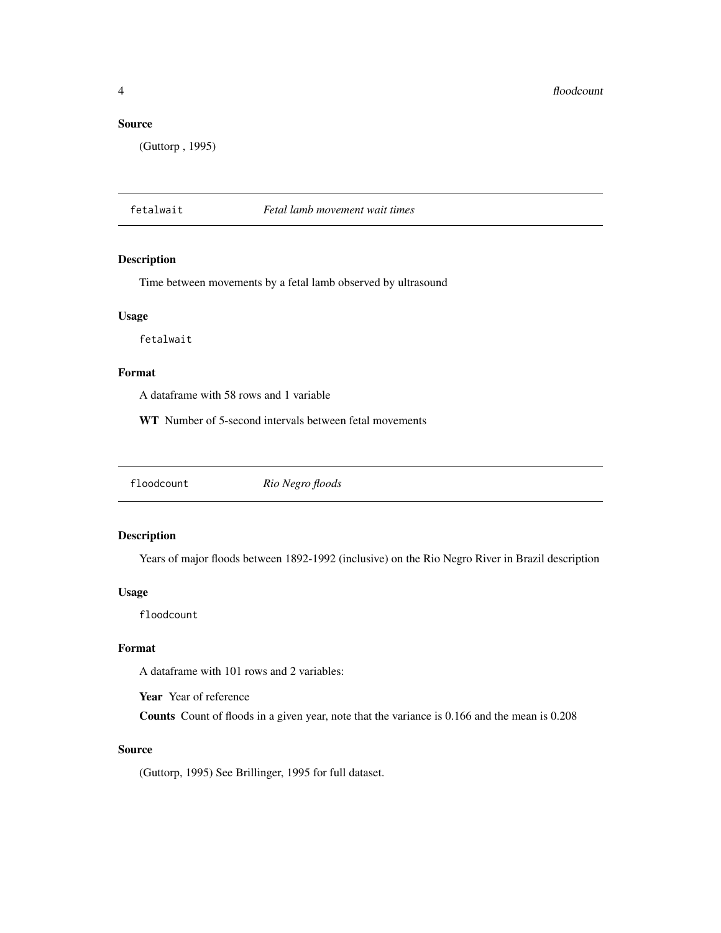#### <span id="page-3-0"></span>Source

(Guttorp , 1995)

#### fetalwait *Fetal lamb movement wait times*

#### Description

Time between movements by a fetal lamb observed by ultrasound

#### Usage

fetalwait

#### Format

A dataframe with 58 rows and 1 variable

WT Number of 5-second intervals between fetal movements

floodcount *Rio Negro floods*

#### Description

Years of major floods between 1892-1992 (inclusive) on the Rio Negro River in Brazil description

#### Usage

floodcount

#### Format

A dataframe with 101 rows and 2 variables:

Year Year of reference

Counts Count of floods in a given year, note that the variance is 0.166 and the mean is 0.208

#### Source

(Guttorp, 1995) See Brillinger, 1995 for full dataset.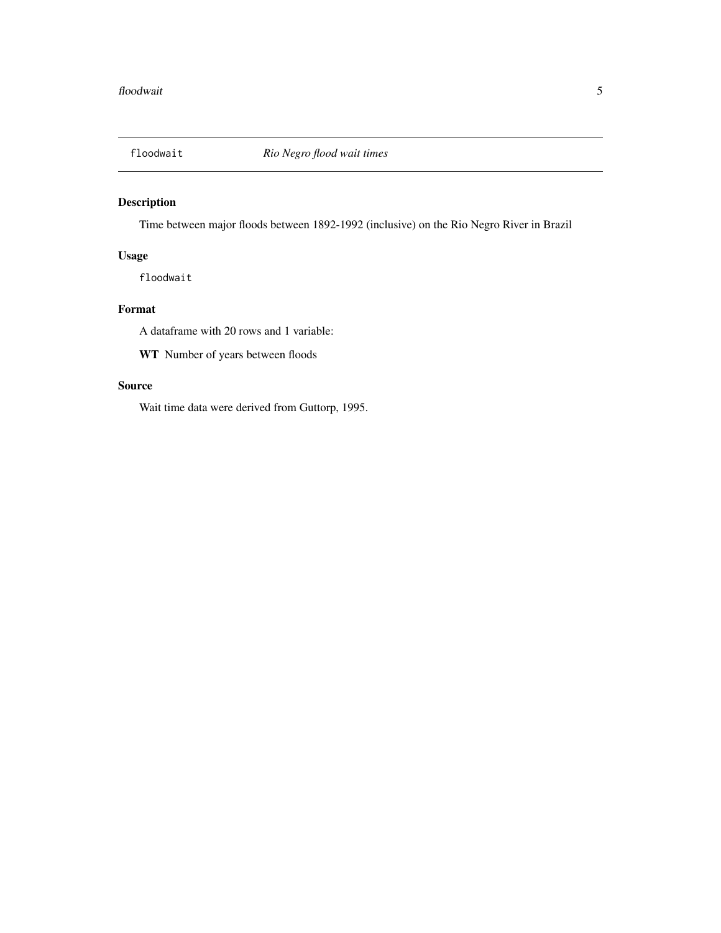<span id="page-4-0"></span>

#### Description

Time between major floods between 1892-1992 (inclusive) on the Rio Negro River in Brazil

#### Usage

floodwait

#### Format

A dataframe with 20 rows and 1 variable:

WT Number of years between floods

#### Source

Wait time data were derived from Guttorp, 1995.